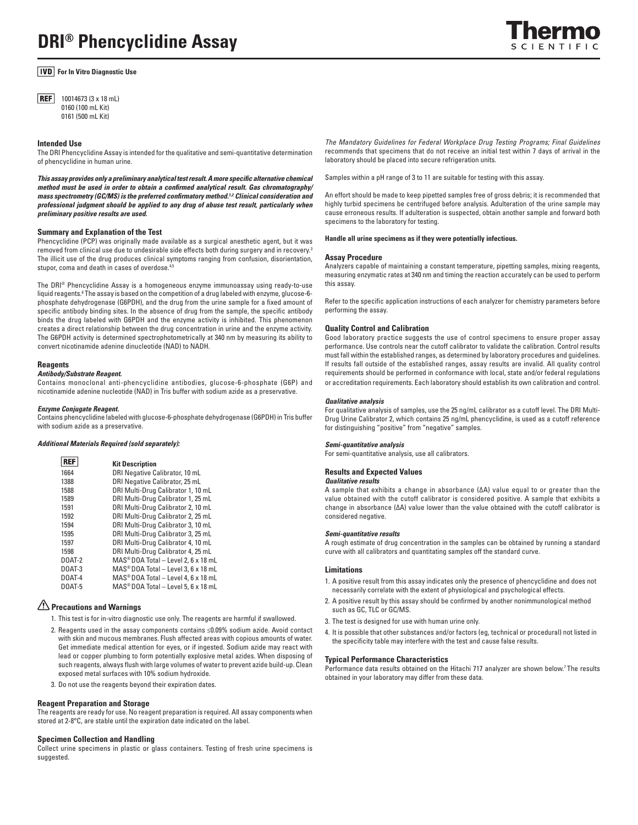# **DRI® Phencyclidine Assay**

### **For In Vitro Diagnostic Use**

**REF** 10014673 (3 x 18 mL) 0160 (100 mL Kit) 0161 (500 mL Kit)

#### **Intended Use**

The DRI Phencyclidine Assay is intended for the qualitative and semi-quantitative determination of phencyclidine in human urine.

This assay provides only a preliminary analytical test result. A more specific alternative chemical *method must be used in order to obtain a confi rmed analytical result. Gas chromatography/ mass spectrometry (GC/MS) is the preferred confirmatory method.<sup>1,2</sup> Clinical consideration and professional judgment should be applied to any drug of abuse test result, particularly when preliminary positive results are used.*

#### **Summary and Explanation of the Test**

Phencyclidine (PCP) was originally made available as a surgical anesthetic agent, but it was removed from clinical use due to undesirable side effects both during surgery and in recovery.<sup>3</sup> The illicit use of the drug produces clinical symptoms ranging from confusion, disorientation, stupor, coma and death in cases of overdose.<sup>4,5</sup>

The DRI® Phencyclidine Assay is a homogeneous enzyme immunoassay using ready-to-use liquid reagents.<sup>6</sup> The assay is based on the competition of a drug labeled with enzyme, glucose-6phosphate dehydrogenase (G6PDH), and the drug from the urine sample for a fixed amount of specific antibody binding sites. In the absence of drug from the sample, the specific antibody binds the drug labeled with G6PDH and the enzyme activity is inhibited. This phenomenon creates a direct relationship between the drug concentration in urine and the enzyme activity. The G6PDH activity is determined spectrophotometrically at 340 nm by measuring its ability to convert nicotinamide adenine dinucleotide (NAD) to NADH.

#### **Reagents**

#### *Antibody/Substrate Reagent.*

Contains monoclonal anti-phencyclidine antibodies, glucose-6-phosphate (G6P) and nicotinamide adenine nucleotide (NAD) in Tris buffer with sodium azide as a preservative.

#### *Enzyme Conjugate Reagent.*

Contains phencyclidine labeled with glucose-6-phosphate dehydrogenase (G6PDH) in Tris buffer with sodium azide as a preservative.

#### *Additional Materials Required (sold separately):*

| <b>REF</b> | <b>Kit Description</b>                            |
|------------|---------------------------------------------------|
| 1664       | DRI Negative Calibrator, 10 mL                    |
| 1388       | DRI Negative Calibrator, 25 mL                    |
| 1588       | DRI Multi-Drug Calibrator 1, 10 mL                |
| 1589       | DRI Multi-Drug Calibrator 1, 25 mL                |
| 1591       | DRI Multi-Drug Calibrator 2, 10 mL                |
| 1592       | DRI Multi-Drug Calibrator 2, 25 mL                |
| 1594       | DRI Multi-Drug Calibrator 3, 10 mL                |
| 1595       | DRI Multi-Drug Calibrator 3, 25 mL                |
| 1597       | DRI Multi-Drug Calibrator 4, 10 mL                |
| 1598       | DRI Multi-Drug Calibrator 4, 25 mL                |
| DOAT-2     | MAS <sup>®</sup> DOA Total - Level 2, 6 x 18 mL   |
| DOAT-3     | MAS <sup>®</sup> DOA Total - Level 3, 6 x 18 mL   |
| $D0AT-4$   | $MAS^{\circledast}$ DOA Total – Level 4.6 x 18 mL |
| DOAT-5     | MAS <sup>®</sup> DOA Total - Level 5, 6 x 18 mL   |

# **Precautions and Warnings**

- 1. This test is for in-vitro diagnostic use only. The reagents are harmful if swallowed.
- 2. Reagents used in the assay components contains ≤0.09% sodium azide. Avoid contact with skin and mucous membranes. Flush affected areas with copious amounts of water. Get immediate medical attention for eyes, or if ingested. Sodium azide may react with lead or copper plumbing to form potentially explosive metal azides. When disposing of such reagents, always flush with large volumes of water to prevent azide build-up. Clean exposed metal surfaces with 10% sodium hydroxide.
- 3. Do not use the reagents beyond their expiration dates.

#### **Reagent Preparation and Storage**

The reagents are ready for use. No reagent preparation is required. All assay components when stored at 2-8°C, are stable until the expiration date indicated on the label.

#### **Specimen Collection and Handling**

Collect urine specimens in plastic or glass containers. Testing of fresh urine specimens is suggested.

The Mandatory Guidelines for Federal Workplace Drug Testing Programs; Final Guidelines recommends that specimens that do not receive an initial test within 7 days of arrival in the laboratory should be placed into secure refrigeration units.

Samples within a pH range of 3 to 11 are suitable for testing with this assay.

An effort should be made to keep pipetted samples free of gross debris; it is recommended that highly turbid specimens be centrifuged before analysis. Adulteration of the urine sample may cause erroneous results. If adulteration is suspected, obtain another sample and forward both specimens to the laboratory for testing.

#### **Handle all urine specimens as if they were potentially infectious.**

#### **Assay Procedure**

Analyzers capable of maintaining a constant temperature, pipetting samples, mixing reagents, measuring enzymatic rates at 340 nm and timing the reaction accurately can be used to perform this assay.

Refer to the specific application instructions of each analyzer for chemistry parameters before performing the assay.

#### **Quality Control and Calibration**

Good laboratory practice suggests the use of control specimens to ensure proper assay performance. Use controls near the cutoff calibrator to validate the calibration. Control results must fall within the established ranges, as determined by laboratory procedures and guidelines. If results fall outside of the established ranges, assay results are invalid. All quality control requirements should be performed in conformance with local, state and/or federal regulations or accreditation requirements. Each laboratory should establish its own calibration and control.

#### *Qualitative analysis*

For qualitative analysis of samples, use the 25 ng/mL calibrator as a cutoff level. The DRI Multi-Drug Urine Calibrator 2, which contains 25 ng/mL phencyclidine, is used as a cutoff reference for distinguishing "positive" from "negative" samples.

#### *Semi-quantitative analysis*

For semi-quantitative analysis, use all calibrators.

#### **Results and Expected Values**

#### *Qualitative results*

A sample that exhibits a change in absorbance (ΔA) value equal to or greater than the value obtained with the cutoff calibrator is considered positive. A sample that exhibits a change in absorbance (ΔA) value lower than the value obtained with the cutoff calibrator is considered negative.

#### *Semi-quantitative results*

A rough estimate of drug concentration in the samples can be obtained by running a standard curve with all calibrators and quantitating samples off the standard curve.

#### **Limitations**

- 1. A positive result from this assay indicates only the presence of phencyclidine and does not necessarily correlate with the extent of physiological and psychological effects.
- 2. A positive result by this assay should be confirmed by another nonimmunological method such as GC, TLC or GC/MS.
- 3. The test is designed for use with human urine only.
- 4. It is possible that other substances and/or factors (eg, technical or procedural) not listed in the specificity table may interfere with the test and cause false results.

#### **Typical Performance Characteristics**

Performance data results obtained on the Hitachi 717 analyzer are shown below.<sup>7</sup> The results obtained in your laboratory may differ from these data.